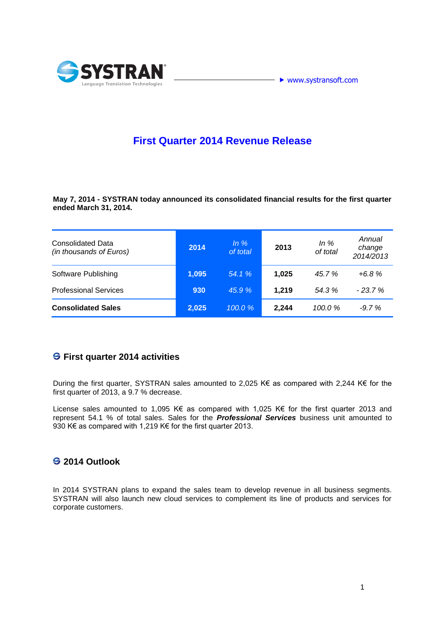



# **First Quarter 2014 Revenue Release**

**May 7, 2014 - SYSTRAN today announced its consolidated financial results for the first quarter ended March 31, 2014.** 

| <b>Consolidated Data</b><br>(in thousands of Euros) | 2014  | In $%$<br>of total | 2013  | In $%$<br>of total | Annual<br>change<br>2014/2013 |
|-----------------------------------------------------|-------|--------------------|-------|--------------------|-------------------------------|
| Software Publishing                                 | 1,095 | 54.1%              | 1,025 | 45.7%              | $+6.8%$                       |
| <b>Professional Services</b>                        | 930   | 45.9%              | 1,219 | 54.3%              | $-23.7%$                      |
| <b>Consolidated Sales</b>                           | 2,025 | 100.0%             | 2,244 | 100.0%             | $-9.7%$                       |

#### **First quarter 2014 activities**

During the first quarter, SYSTRAN sales amounted to 2,025 K€ as compared with 2,244 K€ for the first quarter of 2013, a 9.7 % decrease.

License sales amounted to 1,095 K€ as compared with 1,025 K€ for the first quarter 2013 and represent 54.1 % of total sales. Sales for the *Professional Services* business unit amounted to 930 K€ as compared with 1,219 K€ for the first quarter 2013.

## **2014 Outlook**

In 2014 SYSTRAN plans to expand the sales team to develop revenue in all business segments. SYSTRAN will also launch new cloud services to complement its line of products and services for corporate customers.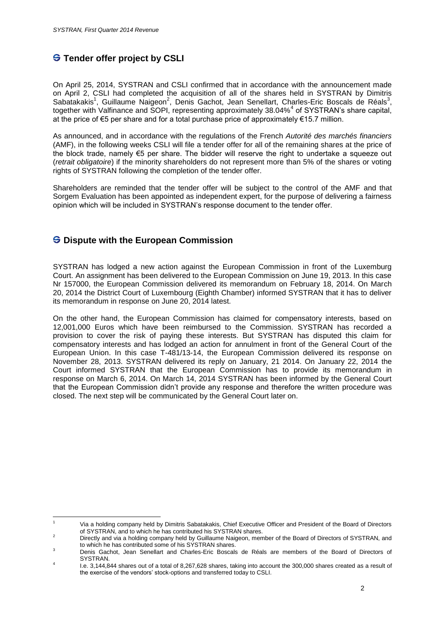## **S** Tender offer project by CSLI

On April 25, 2014, SYSTRAN and CSLI confirmed that in accordance with the announcement made on April 2, CSLI had completed the acquisition of all of the shares held in SYSTRAN by Dimitris Sabatakakis<sup>1</sup>, Guillaume Naigeon<sup>2</sup>, Denis Gachot, Jean Senellart, Charles-Eric Boscals de Réals<sup>3</sup>, together with Valfinance and SOPI, representing approximately 38.04%<sup>4</sup> of SYSTRAN's share capital, at the price of €5 per share and for a total purchase price of approximately €15.7 million.

As announced, and in accordance with the regulations of the French *Autorité des marchés financiers* (AMF), in the following weeks CSLI will file a tender offer for all of the remaining shares at the price of the block trade, namely €5 per share. The bidder will reserve the right to undertake a squeeze out (*retrait obligatoire*) if the minority shareholders do not represent more than 5% of the shares or voting rights of SYSTRAN following the completion of the tender offer.

Shareholders are reminded that the tender offer will be subject to the control of the AMF and that Sorgem Evaluation has been appointed as independent expert, for the purpose of delivering a fairness opinion which will be included in SYSTRAN's response document to the tender offer.

#### **Dispute with the European Commission**

SYSTRAN has lodged a new action against the European Commission in front of the Luxemburg Court. An assignment has been delivered to the European Commission on June 19, 2013. In this case Nr 157000, the European Commission delivered its memorandum on February 18, 2014. On March 20, 2014 the District Court of Luxembourg (Eighth Chamber) informed SYSTRAN that it has to deliver its memorandum in response on June 20, 2014 latest.

On the other hand, the European Commission has claimed for compensatory interests, based on 12,001,000 Euros which have been reimbursed to the Commission. SYSTRAN has recorded a provision to cover the risk of paying these interests. But SYSTRAN has disputed this claim for compensatory interests and has lodged an action for annulment in front of the General Court of the European Union. In this case T-481/13-14, the European Commission delivered its response on November 28, 2013. SYSTRAN delivered its reply on January, 21 2014. On January 22, 2014 the Court informed SYSTRAN that the European Commission has to provide its memorandum in response on March 6, 2014. On March 14, 2014 SYSTRAN has been informed by the General Court that the European Commission didn't provide any response and therefore the written procedure was closed. The next step will be communicated by the General Court later on.

 $\overline{1}$ <sup>1</sup> Via a holding company held by Dimitris Sabatakakis, Chief Executive Officer and President of the Board of Directors of SYSTRAN, and to which he has contributed his SYSTRAN shares.

<sup>&</sup>lt;sup>2</sup> Directly and via a holding company held by Guillaume Naigeon, member of the Board of Directors of SYSTRAN, and to which he has contributed some of his SYSTRAN shares.

<sup>3</sup> Denis Gachot, Jean Senellart and Charles-Eric Boscals de Réals are members of the Board of Directors of **SYSTRAN** 4

I.e. 3,144,844 shares out of a total of 8,267,628 shares, taking into account the 300,000 shares created as a result of the exercise of the vendors' stock-options and transferred today to CSLI.